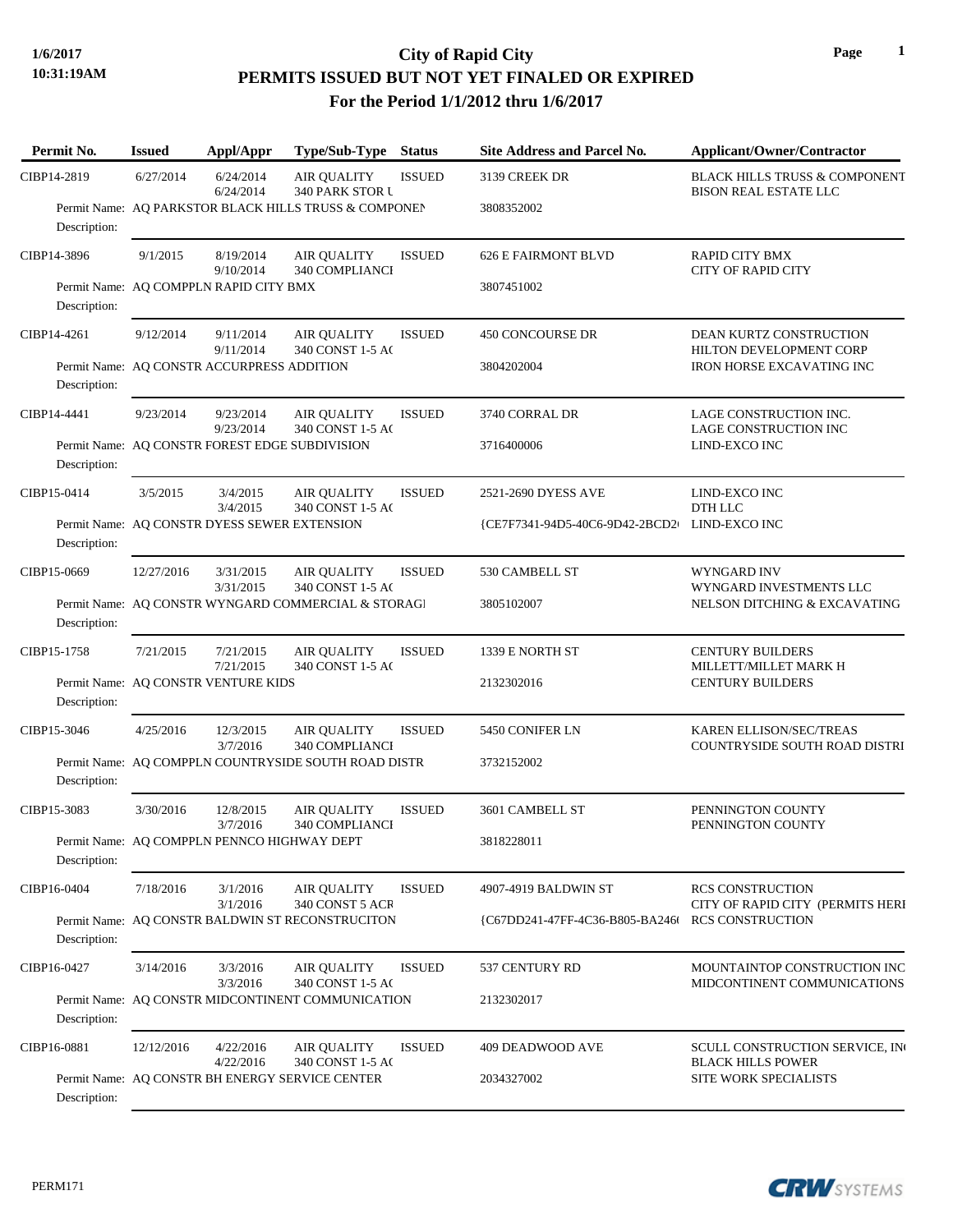# **10:31:19AM**

## **1/6/2017 City of Rapid City PERMITS ISSUED BUT NOT YET FINALED OR EXPIRED For the Period 1/1/2012 thru 1/6/2017**

| Permit No.   | <b>Issued</b> | Appl/Appr                                      | Type/Sub-Type Status                                  |               | <b>Site Address and Parcel No.</b>            | <b>Applicant/Owner/Contractor</b>                                        |  |  |
|--------------|---------------|------------------------------------------------|-------------------------------------------------------|---------------|-----------------------------------------------|--------------------------------------------------------------------------|--|--|
| CIBP14-2819  | 6/27/2014     | 6/24/2014<br>6/24/2014                         | AIR QUALITY<br>340 PARK STOR U                        | <b>ISSUED</b> | 3139 CREEK DR                                 | <b>BLACK HILLS TRUSS &amp; COMPONENT</b><br><b>BISON REAL ESTATE LLC</b> |  |  |
| Description: |               |                                                | Permit Name: AQ PARKSTOR BLACK HILLS TRUSS & COMPONEN |               | 3808352002                                    |                                                                          |  |  |
| CIBP14-3896  | 9/1/2015      | 8/19/2014<br>9/10/2014                         | <b>AIR OUALITY</b><br>340 COMPLIANCI                  | <b>ISSUED</b> | <b>626 E FAIRMONT BLVD</b>                    | <b>RAPID CITY BMX</b><br><b>CITY OF RAPID CITY</b>                       |  |  |
| Description: |               | Permit Name: AQ COMPPLN RAPID CITY BMX         |                                                       |               | 3807451002                                    |                                                                          |  |  |
| CIBP14-4261  | 9/12/2014     | 9/11/2014<br>9/11/2014                         | <b>AIR QUALITY</b><br>340 CONST 1-5 AC                | <b>ISSUED</b> | <b>450 CONCOURSE DR</b>                       | <b>DEAN KURTZ CONSTRUCTION</b><br>HILTON DEVELOPMENT CORP                |  |  |
| Description: |               | Permit Name: AQ CONSTR ACCURPRESS ADDITION     |                                                       |               | 3804202004                                    | <b>IRON HORSE EXCAVATING INC</b>                                         |  |  |
| CIBP14-4441  | 9/23/2014     | 9/23/2014<br>9/23/2014                         | <b>AIR QUALITY</b><br>340 CONST 1-5 AC                | <b>ISSUED</b> | 3740 CORRAL DR                                | LAGE CONSTRUCTION INC.<br>LAGE CONSTRUCTION INC                          |  |  |
| Description: |               | Permit Name: AQ CONSTR FOREST EDGE SUBDIVISION |                                                       |               | 3716400006                                    | LIND-EXCO INC                                                            |  |  |
| CIBP15-0414  | 3/5/2015      | 3/4/2015<br>3/4/2015                           | <b>AIR QUALITY</b><br>340 CONST 1-5 AC                | <b>ISSUED</b> | 2521-2690 DYESS AVE                           | LIND-EXCO INC<br>DTH LLC                                                 |  |  |
| Description: |               | Permit Name: AQ CONSTR DYESS SEWER EXTENSION   |                                                       |               | {CE7F7341-94D5-40C6-9D42-2BCD2+ LIND-EXCO INC |                                                                          |  |  |
| CIBP15-0669  | 12/27/2016    | 3/31/2015<br>3/31/2015                         | <b>AIR QUALITY</b><br>340 CONST 1-5 AC                | <b>ISSUED</b> | 530 CAMBELL ST                                | WYNGARD INV<br>WYNGARD INVESTMENTS LLC                                   |  |  |
| Description: |               |                                                | Permit Name: AQ CONSTR WYNGARD COMMERCIAL & STORAGI   |               | 3805102007                                    | NELSON DITCHING & EXCAVATING                                             |  |  |
| CIBP15-1758  | 7/21/2015     | 7/21/2015<br>7/21/2015                         | <b>AIR QUALITY</b><br>340 CONST 1-5 AC                | <b>ISSUED</b> | 1339 E NORTH ST                               | <b>CENTURY BUILDERS</b><br>MILLETT/MILLET MARK H                         |  |  |
| Description: |               | Permit Name: AQ CONSTR VENTURE KIDS            |                                                       |               | 2132302016                                    | <b>CENTURY BUILDERS</b>                                                  |  |  |
| CIBP15-3046  | 4/25/2016     | 12/3/2015<br>3/7/2016                          | <b>AIR QUALITY</b><br>340 COMPLIANCI                  | <b>ISSUED</b> | 5450 CONIFER LN                               | <b>KAREN ELLISON/SEC/TREAS</b><br>COUNTRYSIDE SOUTH ROAD DISTRI          |  |  |
| Description: |               |                                                | Permit Name: AQ COMPPLN COUNTRYSIDE SOUTH ROAD DISTR  |               | 3732152002                                    |                                                                          |  |  |
| CIBP15-3083  | 3/30/2016     | 12/8/2015<br>3/7/2016                          | <b>AIR QUALITY</b><br>340 COMPLIANCI                  | <b>ISSUED</b> | 3601 CAMBELL ST                               | PENNINGTON COUNTY<br>PENNINGTON COUNTY                                   |  |  |
| Description: |               | Permit Name: AQ COMPPLN PENNCO HIGHWAY DEPT    |                                                       |               | 3818228011                                    |                                                                          |  |  |
| CIBP16-0404  | 7/18/2016     | 3/1/2016<br>3/1/2016                           | <b>AIR QUALITY</b><br>340 CONST 5 ACR                 | <b>ISSUED</b> | 4907-4919 BALDWIN ST                          | <b>RCS CONSTRUCTION</b><br>CITY OF RAPID CITY (PERMITS HERI              |  |  |
| Description: |               |                                                | Permit Name: AQ CONSTR BALDWIN ST RECONSTRUCITON      |               | {C67DD241-47FF-4C36-B805-BA246t               | <b>RCS CONSTRUCTION</b>                                                  |  |  |
| CIBP16-0427  | 3/14/2016     | 3/3/2016<br>3/3/2016                           | <b>AIR QUALITY</b><br>340 CONST 1-5 AC                | <b>ISSUED</b> | 537 CENTURY RD                                | MOUNTAINTOP CONSTRUCTION INC<br>MIDCONTINENT COMMUNICATIONS              |  |  |
| Description: |               |                                                | Permit Name: AQ CONSTR MIDCONTINENT COMMUNICATION     |               | 2132302017                                    |                                                                          |  |  |
| CIBP16-0881  | 12/12/2016    | 4/22/2016<br>4/22/2016                         | <b>AIR QUALITY</b><br>340 CONST 1-5 AC                | <b>ISSUED</b> | 409 DEADWOOD AVE                              | SCULL CONSTRUCTION SERVICE, IN<br><b>BLACK HILLS POWER</b>               |  |  |
| Description: |               |                                                | Permit Name: AQ CONSTR BH ENERGY SERVICE CENTER       |               | 2034327002                                    | SITE WORK SPECIALISTS                                                    |  |  |

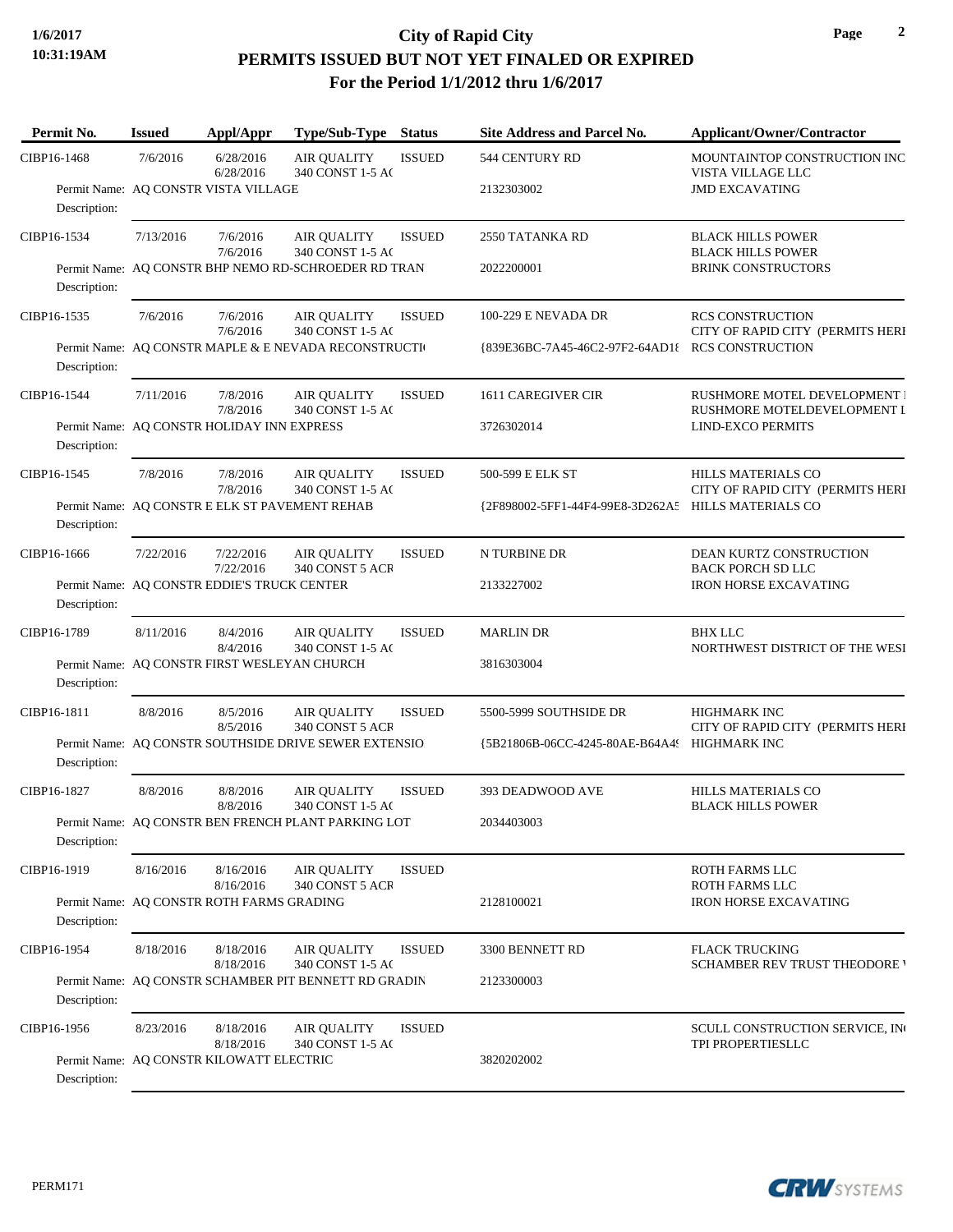### **1/6/2017 City of Rapid City PERMITS ISSUED BUT NOT YET FINALED OR EXPIRED For the Period 1/1/2012 thru 1/6/2017**

| Permit No.   | <b>Issued</b> | Appl/Appr                                      | Type/Sub-Type                                         | <b>Status</b> | Site Address and Parcel No.                         | Applicant/Owner/Contractor                                    |  |
|--------------|---------------|------------------------------------------------|-------------------------------------------------------|---------------|-----------------------------------------------------|---------------------------------------------------------------|--|
| CIBP16-1468  | 7/6/2016      | 6/28/2016<br>6/28/2016                         | <b>AIR QUALITY</b><br>340 CONST 1-5 AC                | <b>ISSUED</b> | 544 CENTURY RD                                      | MOUNTAINTOP CONSTRUCTION INC<br>VISTA VILLAGE LLC             |  |
| Description: |               | Permit Name: AQ CONSTR VISTA VILLAGE           |                                                       |               | 2132303002                                          | <b>JMD EXCAVATING</b>                                         |  |
| CIBP16-1534  | 7/13/2016     | 7/6/2016<br>7/6/2016                           | <b>AIR QUALITY</b><br>340 CONST 1-5 AC                | <b>ISSUED</b> | 2550 TATANKA RD                                     | <b>BLACK HILLS POWER</b><br><b>BLACK HILLS POWER</b>          |  |
| Description: |               |                                                | Permit Name: AQ CONSTR BHP NEMO RD-SCHROEDER RD TRAN  |               | 2022200001                                          | <b>BRINK CONSTRUCTORS</b>                                     |  |
| CIBP16-1535  | 7/6/2016      | 7/6/2016<br>7/6/2016                           | <b>AIR QUALITY</b><br>340 CONST 1-5 AC                | <b>ISSUED</b> | 100-229 E NEVADA DR                                 | <b>RCS CONSTRUCTION</b><br>CITY OF RAPID CITY (PERMITS HERI   |  |
| Description: |               |                                                | Permit Name: AQ CONSTR MAPLE & E NEVADA RECONSTRUCTI  |               | {839E36BC-7A45-46C2-97F2-64AD1{ RCS CONSTRUCTION    |                                                               |  |
| CIBP16-1544  | 7/11/2016     | 7/8/2016<br>7/8/2016                           | <b>AIR QUALITY</b><br>340 CONST 1-5 AC                | <b>ISSUED</b> | 1611 CAREGIVER CIR                                  | RUSHMORE MOTEL DEVELOPMENT I<br>RUSHMORE MOTELDEVELOPMENT I   |  |
| Description: |               | Permit Name: AQ CONSTR HOLIDAY INN EXPRESS     |                                                       |               | 3726302014                                          | <b>LIND-EXCO PERMITS</b>                                      |  |
| CIBP16-1545  | 7/8/2016      | 7/8/2016<br>7/8/2016                           | <b>AIR QUALITY</b><br>340 CONST 1-5 AC                | <b>ISSUED</b> | 500-599 E ELK ST                                    | <b>HILLS MATERIALS CO</b><br>CITY OF RAPID CITY (PERMITS HERI |  |
| Description: |               | Permit Name: AQ CONSTR E ELK ST PAVEMENT REHAB |                                                       |               | {2F898002-5FF1-44F4-99E8-3D262A5 HILLS MATERIALS CO |                                                               |  |
| CIBP16-1666  | 7/22/2016     | 7/22/2016<br>7/22/2016                         | <b>AIR QUALITY</b><br>340 CONST 5 ACR                 | <b>ISSUED</b> | N TURBINE DR                                        | DEAN KURTZ CONSTRUCTION<br><b>BACK PORCH SD LLC</b>           |  |
| Description: |               | Permit Name: AQ CONSTR EDDIE'S TRUCK CENTER    |                                                       |               | 2133227002                                          | <b>IRON HORSE EXCAVATING</b>                                  |  |
| CIBP16-1789  | 8/11/2016     | 8/4/2016<br>8/4/2016                           | <b>AIR QUALITY</b><br>340 CONST 1-5 AC                | <b>ISSUED</b> | <b>MARLIN DR</b>                                    | <b>BHX LLC</b><br>NORTHWEST DISTRICT OF THE WESI              |  |
| Description: |               | Permit Name: AQ CONSTR FIRST WESLEYAN CHURCH   |                                                       |               | 3816303004                                          |                                                               |  |
| CIBP16-1811  | 8/8/2016      | 8/5/2016<br>8/5/2016                           | <b>AIR QUALITY</b><br>340 CONST 5 ACR                 | <b>ISSUED</b> | 5500-5999 SOUTHSIDE DR                              | HIGHMARK INC<br>CITY OF RAPID CITY (PERMITS HERI              |  |
| Description: |               |                                                | Permit Name: AQ CONSTR SOUTHSIDE DRIVE SEWER EXTENSIO |               | {5B21806B-06CC-4245-80AE-B64A49 HIGHMARK INC        |                                                               |  |
| CIBP16-1827  | 8/8/2016      | 8/8/2016<br>8/8/2016                           | <b>AIR QUALITY</b><br>340 CONST 1-5 AC                | <b>ISSUED</b> | 393 DEADWOOD AVE                                    | HILLS MATERIALS CO<br><b>BLACK HILLS POWER</b>                |  |
| Description: |               |                                                | Permit Name: AQ CONSTR BEN FRENCH PLANT PARKING LOT   |               | 2034403003                                          |                                                               |  |
| CIBP16-1919  | 8/16/2016     | 8/16/2016<br>8/16/2016                         | <b>AIR QUALITY</b><br>340 CONST 5 ACR                 | <b>ISSUED</b> |                                                     | ROTH FARMS LLC<br>ROTH FARMS LLC                              |  |
| Description: |               | Permit Name: AQ CONSTR ROTH FARMS GRADING      |                                                       |               | 2128100021                                          | <b>IRON HORSE EXCAVATING</b>                                  |  |
| CIBP16-1954  | 8/18/2016     | 8/18/2016<br>8/18/2016                         | <b>AIR QUALITY</b><br>340 CONST 1-5 AC                | <b>ISSUED</b> | 3300 BENNETT RD                                     | <b>FLACK TRUCKING</b><br><b>SCHAMBER REV TRUST THEODORE '</b> |  |
| Description: |               |                                                | Permit Name: AQ CONSTR SCHAMBER PIT BENNETT RD GRADIN |               | 2123300003                                          |                                                               |  |
| CIBP16-1956  | 8/23/2016     | 8/18/2016<br>8/18/2016                         | <b>AIR QUALITY</b><br>340 CONST 1-5 AC                | <b>ISSUED</b> |                                                     | SCULL CONSTRUCTION SERVICE, IN<br>TPI PROPERTIESLLC           |  |
| Description: |               | Permit Name: AQ CONSTR KILOWATT ELECTRIC       |                                                       |               | 3820202002                                          |                                                               |  |

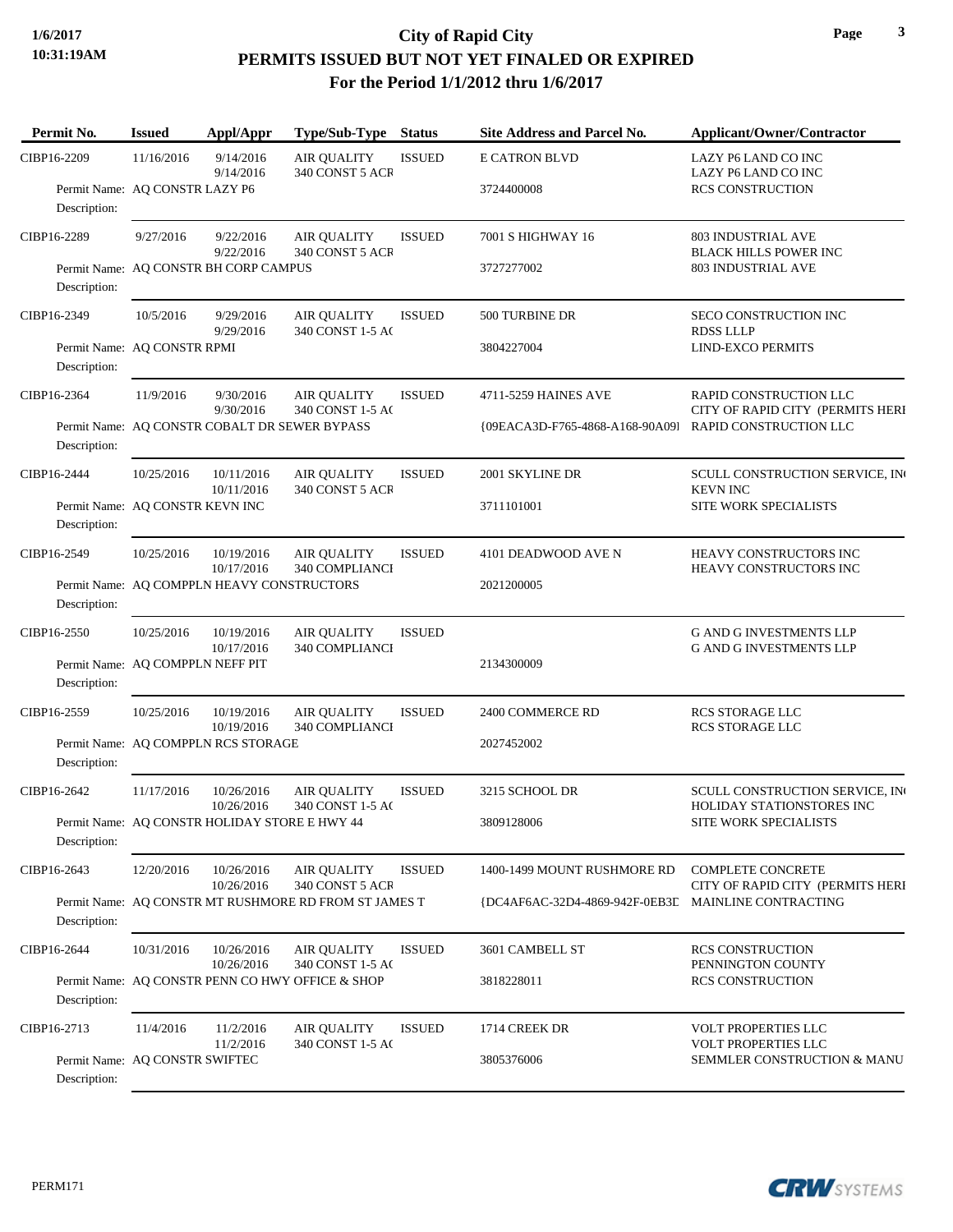### **1/6/2017 City of Rapid City PERMITS ISSUED BUT NOT YET FINALED OR EXPIRED For the Period 1/1/2012 thru 1/6/2017**

| Permit No.   | <b>Issued</b>                    | Appl/Appr                                             | Type/Sub-Type                                    | <b>Status</b> | <b>Site Address and Parcel No.</b> | <b>Applicant/Owner/Contractor</b>                                |  |  |
|--------------|----------------------------------|-------------------------------------------------------|--------------------------------------------------|---------------|------------------------------------|------------------------------------------------------------------|--|--|
| CIBP16-2209  | 11/16/2016                       | 9/14/2016<br>9/14/2016                                | <b>AIR QUALITY</b><br>340 CONST 5 ACR            | <b>ISSUED</b> | <b>E CATRON BLVD</b>               | LAZY P6 LAND CO INC<br>LAZY P6 LAND CO INC                       |  |  |
| Description: | Permit Name: AQ CONSTR LAZY P6   |                                                       |                                                  |               | 3724400008                         | <b>RCS CONSTRUCTION</b>                                          |  |  |
| CIBP16-2289  | 9/27/2016                        | 9/22/2016<br>9/22/2016                                | <b>AIR QUALITY</b><br>340 CONST 5 ACR            | <b>ISSUED</b> | 7001 S HIGHWAY 16                  | 803 INDUSTRIAL AVE<br><b>BLACK HILLS POWER INC</b>               |  |  |
| Description: |                                  | Permit Name: AQ CONSTR BH CORP CAMPUS                 |                                                  |               | 3727277002                         | 803 INDUSTRIAL AVE                                               |  |  |
| CIBP16-2349  | 10/5/2016                        | 9/29/2016<br>9/29/2016                                | <b>AIR QUALITY</b><br>340 CONST 1-5 AC           | <b>ISSUED</b> | 500 TURBINE DR                     | SECO CONSTRUCTION INC<br><b>RDSS LLLP</b>                        |  |  |
| Description: | Permit Name: AQ CONSTR RPMI      |                                                       |                                                  |               | 3804227004                         | <b>LIND-EXCO PERMITS</b>                                         |  |  |
| CIBP16-2364  | 11/9/2016                        | 9/30/2016<br>9/30/2016                                | <b>AIR QUALITY</b><br>340 CONST 1-5 AC           | <b>ISSUED</b> | 4711-5259 HAINES AVE               | RAPID CONSTRUCTION LLC<br>CITY OF RAPID CITY (PERMITS HERI       |  |  |
| Description: |                                  |                                                       | Permit Name: AQ CONSTR COBALT DR SEWER BYPASS    |               | {09EACA3D-F765-4868-A168-90A09]    | RAPID CONSTRUCTION LLC                                           |  |  |
| CIBP16-2444  | 10/25/2016                       | 10/11/2016<br>10/11/2016                              | <b>AIR OUALITY</b><br>340 CONST 5 ACR            | <b>ISSUED</b> | 2001 SKYLINE DR                    | SCULL CONSTRUCTION SERVICE, IN<br><b>KEVN INC</b>                |  |  |
| Description: | Permit Name: AQ CONSTR KEVN INC  |                                                       |                                                  |               | 3711101001                         | SITE WORK SPECIALISTS                                            |  |  |
| CIBP16-2549  | 10/25/2016                       | 10/19/2016<br>10/17/2016                              | <b>AIR QUALITY</b><br>340 COMPLIANCI             | <b>ISSUED</b> | 4101 DEADWOOD AVE N                | HEAVY CONSTRUCTORS INC<br>HEAVY CONSTRUCTORS INC                 |  |  |
| Description: |                                  | Permit Name: AQ COMPPLN HEAVY CONSTRUCTORS            |                                                  |               | 2021200005                         |                                                                  |  |  |
| CIBP16-2550  | 10/25/2016                       | 10/19/2016<br>10/17/2016                              | <b>AIR QUALITY</b><br>340 COMPLIANCI             | <b>ISSUED</b> |                                    | <b>G AND G INVESTMENTS LLP</b><br><b>G AND G INVESTMENTS LLP</b> |  |  |
| Description: | Permit Name: AQ COMPPLN NEFF PIT |                                                       |                                                  |               | 2134300009                         |                                                                  |  |  |
| CIBP16-2559  | 10/25/2016                       | 10/19/2016<br>10/19/2016                              | <b>AIR QUALITY</b><br>340 COMPLIANCI             | <b>ISSUED</b> | 2400 COMMERCE RD                   | <b>RCS STORAGE LLC</b><br><b>RCS STORAGE LLC</b>                 |  |  |
| Description: |                                  | Permit Name: AO COMPPLN RCS STORAGE                   |                                                  |               | 2027452002                         |                                                                  |  |  |
| CIBP16-2642  | 11/17/2016                       | 10/26/2016<br>10/26/2016                              | <b>AIR QUALITY</b><br>340 CONST 1-5 AC           | <b>ISSUED</b> | 3215 SCHOOL DR                     | SCULL CONSTRUCTION SERVICE, IN<br>HOLIDAY STATIONSTORES INC      |  |  |
| Description: |                                  | Permit Name: AQ CONSTR HOLIDAY STORE E HWY 44         |                                                  |               | 3809128006                         | SITE WORK SPECIALISTS                                            |  |  |
| CIBP16-2643  | 12/20/2016                       | 10/26/2016<br>10/26/2016                              | <b>AIR QUALITY</b><br>340 CONST 5 ACR            | <b>ISSUED</b> | 1400-1499 MOUNT RUSHMORE RD        | <b>COMPLETE CONCRETE</b><br>CITY OF RAPID CITY (PERMITS HERI     |  |  |
| Description: |                                  | Permit Name: AQ CONSTR MT RUSHMORE RD FROM ST JAMES T |                                                  |               | {DC4AF6AC-32D4-4869-942F-0EB3E     | <b>MAINLINE CONTRACTING</b>                                      |  |  |
| CIBP16-2644  | 10/31/2016                       | 10/26/2016<br>10/26/2016                              | <b>AIR QUALITY</b><br>340 CONST 1-5 AC           | <b>ISSUED</b> | 3601 CAMBELL ST                    | <b>RCS CONSTRUCTION</b><br>PENNINGTON COUNTY                     |  |  |
| Description: |                                  |                                                       | Permit Name: AO CONSTR PENN CO HWY OFFICE & SHOP |               | 3818228011                         | RCS CONSTRUCTION                                                 |  |  |
| CIBP16-2713  | 11/4/2016                        | 11/2/2016<br>11/2/2016                                | <b>AIR QUALITY</b><br>340 CONST 1-5 AC           | <b>ISSUED</b> | 1714 CREEK DR                      | <b>VOLT PROPERTIES LLC</b><br>VOLT PROPERTIES LLC                |  |  |
| Description: | Permit Name: AQ CONSTR SWIFTEC   |                                                       |                                                  |               | 3805376006                         | SEMMLER CONSTRUCTION & MANU                                      |  |  |